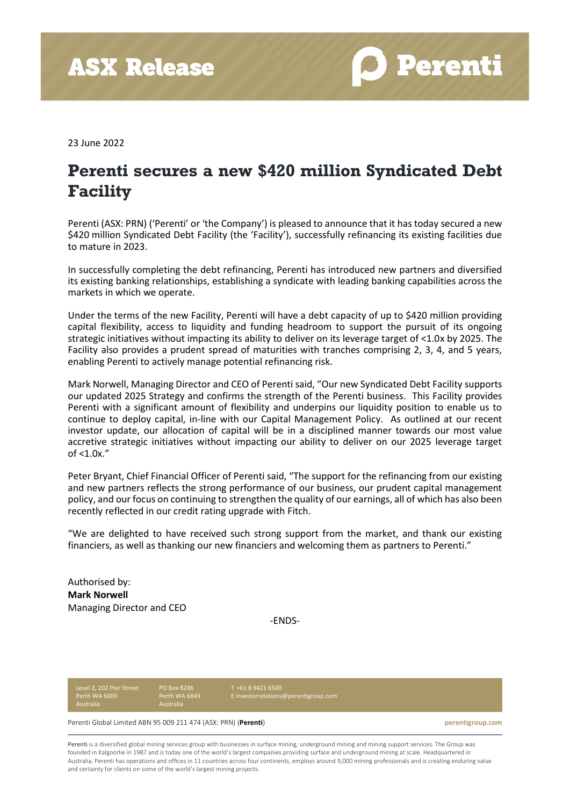**D** Perenti

23 June 2022

## **Perenti secures a new \$420 million Syndicated Debt Facility**

Perenti (ASX: PRN) ('Perenti' or 'the Company') is pleased to announce that it has today secured a new \$420 million Syndicated Debt Facility (the 'Facility'), successfully refinancing its existing facilities due to mature in 2023.

In successfully completing the debt refinancing, Perenti has introduced new partners and diversified its existing banking relationships, establishing a syndicate with leading banking capabilities across the markets in which we operate.

Under the terms of the new Facility, Perenti will have a debt capacity of up to \$420 million providing capital flexibility, access to liquidity and funding headroom to support the pursuit of its ongoing strategic initiatives without impacting its ability to deliver on its leverage target of <1.0x by 2025. The Facility also provides a prudent spread of maturities with tranches comprising 2, 3, 4, and 5 years, enabling Perenti to actively manage potential refinancing risk.

Mark Norwell, Managing Director and CEO of Perenti said, "Our new Syndicated Debt Facility supports our updated 2025 Strategy and confirms the strength of the Perenti business. This Facility provides Perenti with a significant amount of flexibility and underpins our liquidity position to enable us to continue to deploy capital, in-line with our Capital Management Policy. As outlined at our recent investor update, our allocation of capital will be in a disciplined manner towards our most value accretive strategic initiatives without impacting our ability to deliver on our 2025 leverage target of <1.0x."

Peter Bryant, Chief Financial Officer of Perenti said, "The support for the refinancing from our existing and new partners reflects the strong performance of our business, our prudent capital management policy, and our focus on continuing to strengthen the quality of our earnings, all of which has also been recently reflected in our credit rating upgrade with Fitch.

"We are delighted to have received such strong support from the market, and thank our existing financiers, as well as thanking our new financiers and welcoming them as partners to Perenti."

Authorised by: **Mark Norwell** Managing Director and CEO

-ENDS-

Level 2, 202 Pier Street Perth WA 6000 Australia

PO Box 8286 Perth WA 6849 T +61 8 9421 6500 [E investorrelations@perentigroup.com](about:blank)

Perenti Global Limited ABN 95 009 211 474 (ASX: PRN) (**Perenti**) **perentigroup.com**

Perenti is a diversified global mining services group with businesses in surface mining, underground mining and mining support services. The Group was founded in Kalgoorlie in 1987 and is today one of the world's largest companies providing surface and underground mining at scale. Headquartered in Australia, Perenti has operations and offices in 11 countries across four continents, employs around 9,000 mining professionals and is creating enduring value and certainty for clients on some of the world's largest mining projects.